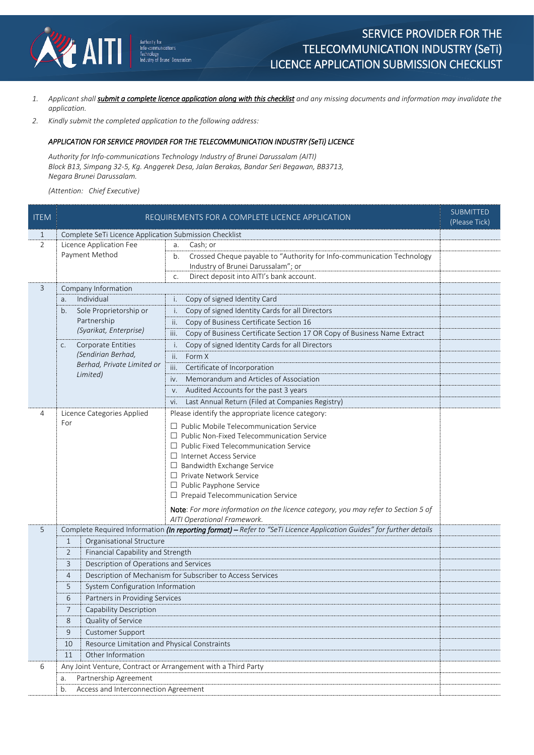

- *1. Applicant shall submit a complete licence application along with this checklist and any missing documents and information may invalidate the application.*
- *2. Kindly submit the completed application to the following address:*

## *APPLICATION FOR SERVICE PROVIDER FOR THE TELECOMMUNICATION INDUSTRY (SeTi) LICENCE*

*Authority for Info-communications Technology Industry of Brunei Darussalam (AITI) Block B13, Simpang 32-5, Kg. Anggerek Desa, Jalan Berakas, Bandar Seri Begawan, BB3713, Negara Brunei Darussalam.*

*(Attention: Chief Executive)*

| <b>ITEM</b>    | REQUIREMENTS FOR A COMPLETE LICENCE APPLICATION                                                                                                                  |                                                                                                                  |  |  |  |  |
|----------------|------------------------------------------------------------------------------------------------------------------------------------------------------------------|------------------------------------------------------------------------------------------------------------------|--|--|--|--|
| 1              | Complete SeTi Licence Application Submission Checklist                                                                                                           |                                                                                                                  |  |  |  |  |
| $\overline{2}$ | Licence Application Fee                                                                                                                                          | Cash; or<br>a.                                                                                                   |  |  |  |  |
|                | Payment Method                                                                                                                                                   | Crossed Cheque payable to "Authority for Info-communication Technology<br>b.                                     |  |  |  |  |
|                |                                                                                                                                                                  | Industry of Brunei Darussalam"; or                                                                               |  |  |  |  |
|                |                                                                                                                                                                  | Direct deposit into AITI's bank account.<br>C.                                                                   |  |  |  |  |
| 3              | Company Information                                                                                                                                              |                                                                                                                  |  |  |  |  |
|                | Individual<br>a.                                                                                                                                                 | Copy of signed Identity Card<br>i.                                                                               |  |  |  |  |
|                | Sole Proprietorship or<br>b.<br>Partnership<br>(Syarikat, Enterprise)                                                                                            | Copy of signed Identity Cards for all Directors<br>i.                                                            |  |  |  |  |
|                |                                                                                                                                                                  | Copy of Business Certificate Section 16<br>ii.                                                                   |  |  |  |  |
|                |                                                                                                                                                                  | Copy of Business Certificate Section 17 OR Copy of Business Name Extract<br>iii.                                 |  |  |  |  |
|                | Corporate Entities<br>C.<br>(Sendirian Berhad,<br>Berhad, Private Limited or<br>Limited)                                                                         | Copy of signed Identity Cards for all Directors<br>i.                                                            |  |  |  |  |
|                |                                                                                                                                                                  | ii.<br>Form X                                                                                                    |  |  |  |  |
|                |                                                                                                                                                                  | Certificate of Incorporation<br>iii.                                                                             |  |  |  |  |
|                |                                                                                                                                                                  | Memorandum and Articles of Association<br>iv.                                                                    |  |  |  |  |
|                |                                                                                                                                                                  | Audited Accounts for the past 3 years<br>V.                                                                      |  |  |  |  |
|                |                                                                                                                                                                  | Last Annual Return (Filed at Companies Registry)<br>vi.                                                          |  |  |  |  |
| $\overline{4}$ | Licence Categories Applied                                                                                                                                       | Please identify the appropriate licence category:                                                                |  |  |  |  |
|                | For                                                                                                                                                              | $\Box$ Public Mobile Telecommunication Service                                                                   |  |  |  |  |
|                |                                                                                                                                                                  | $\Box$ Public Non-Fixed Telecommunication Service                                                                |  |  |  |  |
|                |                                                                                                                                                                  | $\Box$ Public Fixed Telecommunication Service                                                                    |  |  |  |  |
|                |                                                                                                                                                                  | □ Internet Access Service                                                                                        |  |  |  |  |
|                |                                                                                                                                                                  | $\Box$ Bandwidth Exchange Service                                                                                |  |  |  |  |
|                |                                                                                                                                                                  | □ Private Network Service<br>□ Public Payphone Service                                                           |  |  |  |  |
|                |                                                                                                                                                                  | $\Box$ Prepaid Telecommunication Service                                                                         |  |  |  |  |
|                |                                                                                                                                                                  |                                                                                                                  |  |  |  |  |
|                |                                                                                                                                                                  | Note: For more information on the licence category, you may refer to Section 5 of<br>AITI Operational Framework. |  |  |  |  |
| 5              |                                                                                                                                                                  |                                                                                                                  |  |  |  |  |
|                | Complete Required Information (In reporting format) - Refer to "SeTi Licence Application Guides" for further details<br>Organisational Structure<br>$\mathbf{1}$ |                                                                                                                  |  |  |  |  |
|                | $\overline{2}$<br>Financial Capability and Strength                                                                                                              |                                                                                                                  |  |  |  |  |
|                |                                                                                                                                                                  |                                                                                                                  |  |  |  |  |
|                | Description of Operations and Services<br>3                                                                                                                      |                                                                                                                  |  |  |  |  |
|                | Description of Mechanism for Subscriber to Access Services<br>$\overline{4}$<br>5<br>System Configuration Information                                            |                                                                                                                  |  |  |  |  |
|                |                                                                                                                                                                  |                                                                                                                  |  |  |  |  |
|                | 6<br>Partners in Providing Services                                                                                                                              |                                                                                                                  |  |  |  |  |
|                | 7<br>Capability Description                                                                                                                                      |                                                                                                                  |  |  |  |  |
|                | Quality of Service<br>8                                                                                                                                          |                                                                                                                  |  |  |  |  |
|                | 9<br><b>Customer Support</b>                                                                                                                                     |                                                                                                                  |  |  |  |  |
|                | 10<br>Resource Limitation and Physical Constraints                                                                                                               |                                                                                                                  |  |  |  |  |
|                | Other Information<br>11                                                                                                                                          |                                                                                                                  |  |  |  |  |
|                | Any Joint Venture, Contract or Arrangement with a Third Party<br>6                                                                                               |                                                                                                                  |  |  |  |  |
|                | Partnership Agreement<br>a.                                                                                                                                      |                                                                                                                  |  |  |  |  |
|                | Access and Interconnection Agreement<br>b.                                                                                                                       |                                                                                                                  |  |  |  |  |